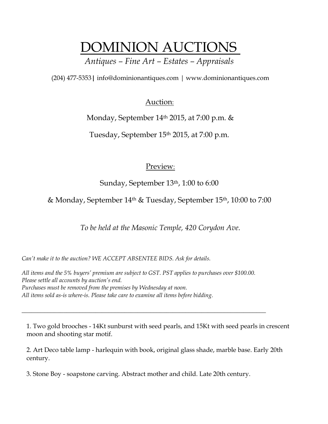## DOMINION AUCTIONS

*Antiques – Fine Art – Estates – Appraisals*

(204) 477-5353**|** [info@dominionantiques.com | www.dominionantiques.com](mailto:info@dominionantiques.com%20%7C%20www.dominionantiques.com)

## Auction:

Monday, September 14<sup>th</sup> 2015, at 7:00 p.m. &

Tuesday, September 15th 2015, at 7:00 p.m.

## Preview:

Sunday, September 13<sup>th</sup>, 1:00 to 6:00

& Monday, September 14th & Tuesday, September 15th, 10:00 to 7:00

*To be held at the Masonic Temple, 420 Corydon Ave.*

*Can't make it to the auction? WE ACCEPT ABSENTEE BIDS. Ask for details.*

*All items and the 5% buyers' premium are subject to GST. PST applies to purchases over \$100.00. Please settle all accounts by auction's end. Purchases must be removed from the premises by Wednesday at noon. All items sold as-is where-is. Please take care to examine all items before bidding.*

*\_\_\_\_\_\_\_\_\_\_\_\_\_\_\_\_\_\_\_\_\_\_\_\_\_\_\_\_\_\_\_\_\_\_\_\_\_\_\_\_\_\_\_\_\_\_\_\_\_\_\_\_\_\_\_\_\_\_\_\_\_\_\_\_\_\_\_\_\_\_\_\_\_\_\_\_*

1. Two gold brooches - 14Kt sunburst with seed pearls, and 15Kt with seed pearls in crescent moon and shooting star motif.

2. Art Deco table lamp - harlequin with book, original glass shade, marble base. Early 20th century.

3. Stone Boy - soapstone carving. Abstract mother and child. Late 20th century.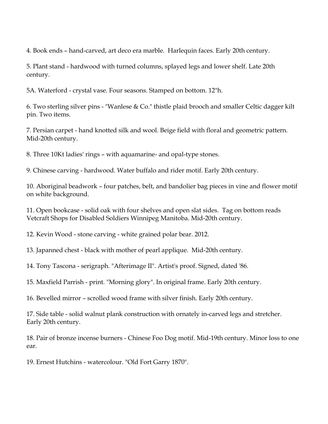4. Book ends – hand-carved, art deco era marble. Harlequin faces. Early 20th century.

5. Plant stand - hardwood with turned columns, splayed legs and lower shelf. Late 20th century.

5A. Waterford - crystal vase. Four seasons. Stamped on bottom. 12"h.

6. Two sterling silver pins - "Wanlese & Co." thistle plaid brooch and smaller Celtic dagger kilt pin. Two items.

7. Persian carpet - hand knotted silk and wool. Beige field with floral and geometric pattern. Mid-20th century.

8. Three 10Kt ladies' rings – with aquamarine- and opal-type stones.

9. Chinese carving - hardwood. Water buffalo and rider motif. Early 20th century.

10. Aboriginal beadwork – four patches, belt, and bandolier bag pieces in vine and flower motif on white background.

11. Open bookcase - solid oak with four shelves and open slat sides. Tag on bottom reads Vetcraft Shops for Disabled Soldiers Winnipeg Manitoba. Mid-20th century.

12. Kevin Wood - stone carving - white grained polar bear. 2012.

13. Japanned chest - black with mother of pearl applique. Mid-20th century.

14. Tony Tascona - serigraph. "Afterimage II". Artist's proof. Signed, dated '86.

15. Maxfield Parrish - print. "Morning glory". In original frame. Early 20th century.

16. Bevelled mirror – scrolled wood frame with silver finish. Early 20th century.

17. Side table - solid walnut plank construction with ornately in-carved legs and stretcher. Early 20th century.

18. Pair of bronze incense burners - Chinese Foo Dog motif. Mid-19th century. Minor loss to one ear.

19. Ernest Hutchins - watercolour. "Old Fort Garry 1870".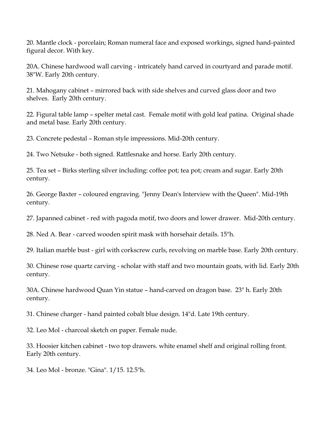20. Mantle clock - porcelain; Roman numeral face and exposed workings, signed hand-painted figural decor. With key.

20A. Chinese hardwood wall carving - intricately hand carved in courtyard and parade motif. 38"W. Early 20th century.

21. Mahogany cabinet – mirrored back with side shelves and curved glass door and two shelves. Early 20th century.

22. Figural table lamp – spelter metal cast. Female motif with gold leaf patina. Original shade and metal base. Early 20th century.

23. Concrete pedestal – Roman style impressions. Mid-20th century.

24. Two Netsuke - both signed. Rattlesnake and horse. Early 20th century.

25. Tea set – Birks sterling silver including: coffee pot; tea pot; cream and sugar. Early 20th century.

26. George Baxter – coloured engraving. "Jenny Dean's Interview with the Queen". Mid-19th century.

27. Japanned cabinet - red with pagoda motif, two doors and lower drawer. Mid-20th century.

28. Ned A. Bear - carved wooden spirit mask with horsehair details. 15"h.

29. Italian marble bust - girl with corkscrew curls, revolving on marble base. Early 20th century.

30. Chinese rose quartz carving - scholar with staff and two mountain goats, with lid. Early 20th century.

30A. Chinese hardwood Quan Yin statue – hand-carved on dragon base. 23" h. Early 20th century.

31. Chinese charger - hand painted cobalt blue design. 14"d. Late 19th century.

32. Leo Mol - charcoal sketch on paper. Female nude.

33. Hoosier kitchen cabinet - two top drawers. white enamel shelf and original rolling front. Early 20th century.

34. Leo Mol - bronze. "Gina". 1/15. 12.5"h.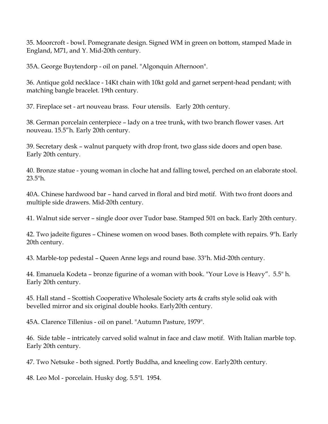35. Moorcroft - bowl. Pomegranate design. Signed WM in green on bottom, stamped Made in England, M71, and Y. Mid-20th century.

35A. George Buytendorp - oil on panel. "Algonquin Afternoon".

36. Antique gold necklace - 14Kt chain with 10kt gold and garnet serpent-head pendant; with matching bangle bracelet. 19th century.

37. Fireplace set - art nouveau brass. Four utensils. Early 20th century.

38. German porcelain centerpiece – lady on a tree trunk, with two branch flower vases. Art nouveau. 15.5"h. Early 20th century.

39. Secretary desk – walnut parquety with drop front, two glass side doors and open base. Early 20th century.

40. Bronze statue - young woman in cloche hat and falling towel, perched on an elaborate stool. 23.5"h.

40A. Chinese hardwood bar – hand carved in floral and bird motif. With two front doors and multiple side drawers. Mid-20th century.

41. Walnut side server – single door over Tudor base. Stamped 501 on back. Early 20th century.

42. Two jadeite figures – Chinese women on wood bases. Both complete with repairs. 9"h. Early 20th century.

43. Marble-top pedestal – Queen Anne legs and round base. 33"h. Mid-20th century.

44. Emanuela Kodeta – bronze figurine of a woman with book. "Your Love is Heavy". 5.5" h. Early 20th century.

45. Hall stand – Scottish Cooperative Wholesale Society arts & crafts style solid oak with bevelled mirror and six original double hooks. Early20th century.

45A. Clarence Tillenius - oil on panel. "Autumn Pasture, 1979".

46. Side table – intricately carved solid walnut in face and claw motif. With Italian marble top. Early 20th century.

47. Two Netsuke - both signed. Portly Buddha, and kneeling cow. Early20th century.

48. Leo Mol - porcelain. Husky dog. 5.5"l. 1954.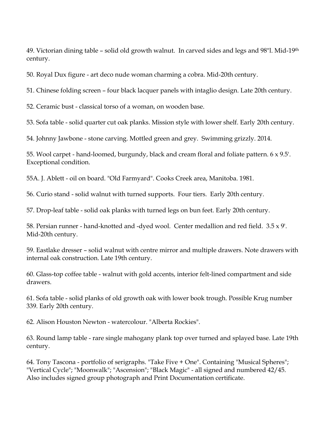49. Victorian dining table – solid old growth walnut. In carved sides and legs and 98"l. Mid-19th century.

50. Royal Dux figure - art deco nude woman charming a cobra. Mid-20th century.

51. Chinese folding screen – four black lacquer panels with intaglio design. Late 20th century.

52. Ceramic bust - classical torso of a woman, on wooden base.

53. Sofa table - solid quarter cut oak planks. Mission style with lower shelf. Early 20th century.

54. Johnny Jawbone - stone carving. Mottled green and grey. Swimming grizzly. 2014.

55. Wool carpet - hand-loomed, burgundy, black and cream floral and foliate pattern. 6 x 9.5'. Exceptional condition.

55A. J. Ablett - oil on board. "Old Farmyard". Cooks Creek area, Manitoba. 1981.

56. Curio stand - solid walnut with turned supports. Four tiers. Early 20th century.

57. Drop-leaf table - solid oak planks with turned legs on bun feet. Early 20th century.

58. Persian runner - hand-knotted and -dyed wool. Center medallion and red field. 3.5 x 9'. Mid-20th century.

59. Eastlake dresser – solid walnut with centre mirror and multiple drawers. Note drawers with internal oak construction. Late 19th century.

60. Glass-top coffee table - walnut with gold accents, interior felt-lined compartment and side drawers.

61. Sofa table - solid planks of old growth oak with lower book trough. Possible Krug number 339. Early 20th century.

62. Alison Houston Newton - watercolour. "Alberta Rockies".

63. Round lamp table - rare single mahogany plank top over turned and splayed base. Late 19th century.

64. Tony Tascona - portfolio of serigraphs. "Take Five + One". Containing "Musical Spheres"; "Vertical Cycle"; "Moonwalk"; "Ascension"; "Black Magic" - all signed and numbered 42/45. Also includes signed group photograph and Print Documentation certificate.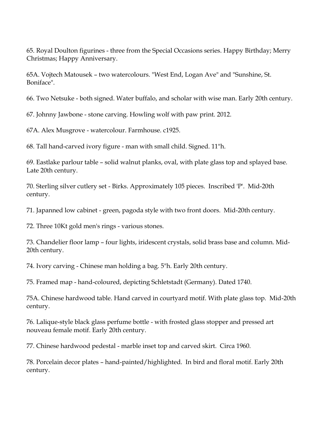65. Royal Doulton figurines - three from the Special Occasions series. Happy Birthday; Merry Christmas; Happy Anniversary.

65A. Vojtech Matousek – two watercolours. "West End, Logan Ave" and "Sunshine, St. Boniface".

66. Two Netsuke - both signed. Water buffalo, and scholar with wise man. Early 20th century.

67. Johnny Jawbone - stone carving. Howling wolf with paw print. 2012.

67A. Alex Musgrove - watercolour. Farmhouse. c1925.

68. Tall hand-carved ivory figure - man with small child. Signed. 11"h.

69. Eastlake parlour table – solid walnut planks, oval, with plate glass top and splayed base. Late 20th century.

70. Sterling silver cutlery set - Birks. Approximately 105 pieces. Inscribed 'P'. Mid-20th century.

71. Japanned low cabinet - green, pagoda style with two front doors. Mid-20th century.

72. Three 10Kt gold men's rings - various stones.

73. Chandelier floor lamp – four lights, iridescent crystals, solid brass base and column. Mid-20th century.

74. Ivory carving - Chinese man holding a bag. 5"h. Early 20th century.

75. Framed map - hand-coloured, depicting Schletstadt (Germany). Dated 1740.

75A. Chinese hardwood table. Hand carved in courtyard motif. With plate glass top. Mid-20th century.

76. Lalique-style black glass perfume bottle - with frosted glass stopper and pressed art nouveau female motif. Early 20th century.

77. Chinese hardwood pedestal - marble inset top and carved skirt. Circa 1960.

78. Porcelain decor plates – hand-painted/highlighted. In bird and floral motif. Early 20th century.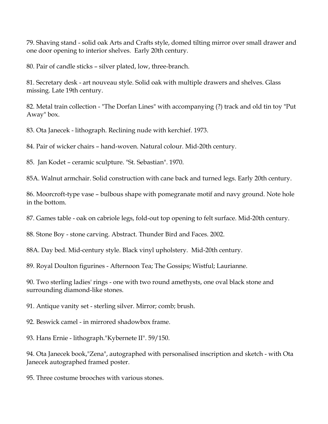79. Shaving stand - solid oak Arts and Crafts style, domed tilting mirror over small drawer and one door opening to interior shelves. Early 20th century.

80. Pair of candle sticks – silver plated, low, three-branch.

81. Secretary desk - art nouveau style. Solid oak with multiple drawers and shelves. Glass missing. Late 19th century.

82. Metal train collection - "The Dorfan Lines" with accompanying (?) track and old tin toy "Put Away" box.

83. Ota Janecek - lithograph. Reclining nude with kerchief. 1973.

84. Pair of wicker chairs – hand-woven. Natural colour. Mid-20th century.

85. Jan Kodet – ceramic sculpture. "St. Sebastian". 1970.

85A. Walnut armchair. Solid construction with cane back and turned legs. Early 20th century.

86. Moorcroft-type vase – bulbous shape with pomegranate motif and navy ground. Note hole in the bottom.

87. Games table - oak on cabriole legs, fold-out top opening to felt surface. Mid-20th century.

88. Stone Boy - stone carving. Abstract. Thunder Bird and Faces. 2002.

88A. Day bed. Mid-century style. Black vinyl upholstery. Mid-20th century.

89. Royal Doulton figurines - Afternoon Tea; The Gossips; Wistful; Laurianne.

90. Two sterling ladies' rings - one with two round amethysts, one oval black stone and surrounding diamond-like stones.

91. Antique vanity set - sterling silver. Mirror; comb; brush.

92. Beswick camel - in mirrored shadowbox frame.

93. Hans Ernie - lithograph."Kybernete II". 59/150.

94. Ota Janecek book,"Zena", autographed with personalised inscription and sketch - with Ota Janecek autographed framed poster.

95. Three costume brooches with various stones.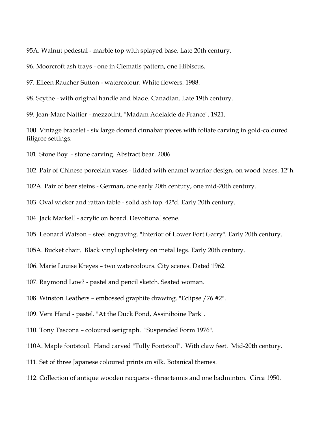95A. Walnut pedestal - marble top with splayed base. Late 20th century.

96. Moorcroft ash trays - one in Clematis pattern, one Hibiscus.

97. Eileen Raucher Sutton - watercolour. White flowers. 1988.

98. Scythe - with original handle and blade. Canadian. Late 19th century.

99. Jean-Marc Nattier - mezzotint. "Madam Adelaide de France". 1921.

100. Vintage bracelet - six large domed cinnabar pieces with foliate carving in gold-coloured filigree settings.

101. Stone Boy - stone carving. Abstract bear. 2006.

102. Pair of Chinese porcelain vases - lidded with enamel warrior design, on wood bases. 12"h.

102A. Pair of beer steins - German, one early 20th century, one mid-20th century.

103. Oval wicker and rattan table - solid ash top. 42"d. Early 20th century.

104. Jack Markell - acrylic on board. Devotional scene.

105. Leonard Watson – steel engraving. "Interior of Lower Fort Garry". Early 20th century.

105A. Bucket chair. Black vinyl upholstery on metal legs. Early 20th century.

106. Marie Louise Kreyes – two watercolours. City scenes. Dated 1962.

107. Raymond Low? - pastel and pencil sketch. Seated woman.

108. Winston Leathers – embossed graphite drawing. "Eclipse /76 #2".

109. Vera Hand - pastel. "At the Duck Pond, Assiniboine Park".

110. Tony Tascona – coloured serigraph. "Suspended Form 1976".

110A. Maple footstool. Hand carved "Tully Footstool". With claw feet. Mid-20th century.

111. Set of three Japanese coloured prints on silk. Botanical themes.

112. Collection of antique wooden racquets - three tennis and one badminton. Circa 1950.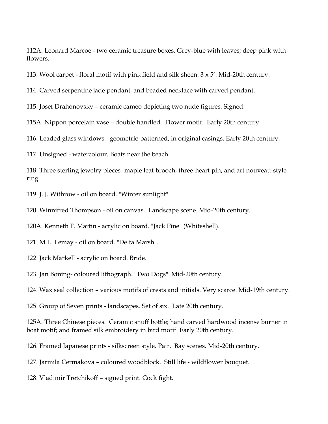112A. Leonard Marcoe - two ceramic treasure boxes. Grey-blue with leaves; deep pink with flowers.

113. Wool carpet - floral motif with pink field and silk sheen.  $3 \times 5'$ . Mid-20th century.

114. Carved serpentine jade pendant, and beaded necklace with carved pendant.

115. Josef Drahonovsky – ceramic cameo depicting two nude figures. Signed.

115A. Nippon porcelain vase – double handled. Flower motif. Early 20th century.

116. Leaded glass windows - geometric-patterned, in original casings. Early 20th century.

117. Unsigned - watercolour. Boats near the beach.

118. Three sterling jewelry pieces- maple leaf brooch, three-heart pin, and art nouveau-style ring.

119. J. J. Withrow - oil on board. "Winter sunlight".

120. Winnifred Thompson - oil on canvas. Landscape scene. Mid-20th century.

120A. Kenneth F. Martin - acrylic on board. "Jack Pine" (Whiteshell).

121. M.L. Lemay - oil on board. "Delta Marsh".

122. Jack Markell - acrylic on board. Bride.

123. Jan Boning- coloured lithograph. "Two Dogs". Mid-20th century.

124. Wax seal collection – various motifs of crests and initials. Very scarce. Mid-19th century.

125. Group of Seven prints - landscapes. Set of six. Late 20th century.

125A. Three Chinese pieces. Ceramic snuff bottle; hand carved hardwood incense burner in boat motif; and framed silk embroidery in bird motif. Early 20th century.

126. Framed Japanese prints - silkscreen style. Pair. Bay scenes. Mid-20th century.

127. Jarmila Cermakova – coloured woodblock. Still life - wildflower bouquet.

128. Vladimir Tretchikoff – signed print. Cock fight.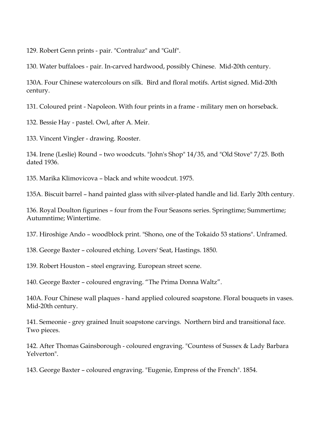129. Robert Genn prints - pair. "Contraluz" and "Gulf".

130. Water buffaloes - pair. In-carved hardwood, possibly Chinese. Mid-20th century.

130A. Four Chinese watercolours on silk. Bird and floral motifs. Artist signed. Mid-20th century.

131. Coloured print - Napoleon. With four prints in a frame - military men on horseback.

132. Bessie Hay - pastel. Owl, after A. Meir.

133. Vincent Vingler - drawing. Rooster.

134. Irene (Leslie) Round – two woodcuts. "John's Shop" 14/35, and "Old Stove" 7/25. Both dated 1936.

135. Marika Klimovicova – black and white woodcut. 1975.

135A. Biscuit barrel – hand painted glass with silver-plated handle and lid. Early 20th century.

136. Royal Doulton figurines – four from the Four Seasons series. Springtime; Summertime; Autumntime; Wintertime.

137. Hiroshige Ando – woodblock print. "Shono, one of the Tokaido 53 stations". Unframed.

138. George Baxter – coloured etching. Lovers' Seat, Hastings. 1850.

139. Robert Houston – steel engraving. European street scene.

140. George Baxter – coloured engraving. "The Prima Donna Waltz".

140A. Four Chinese wall plaques - hand applied coloured soapstone. Floral bouquets in vases. Mid-20th century.

141. Semeonie - grey grained Inuit soapstone carvings. Northern bird and transitional face. Two pieces.

142. After Thomas Gainsborough - coloured engraving. "Countess of Sussex & Lady Barbara Yelverton".

143. George Baxter – coloured engraving. "Eugenie, Empress of the French". 1854.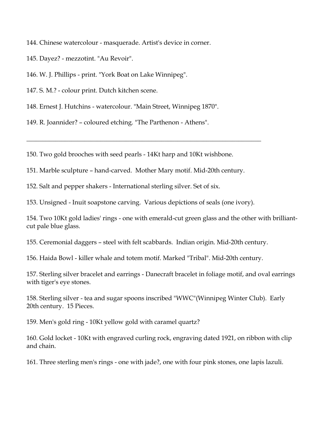144. Chinese watercolour - masquerade. Artist's device in corner.

145. Dayez? - mezzotint. "Au Revoir".

146. W. J. Phillips - print. "York Boat on Lake Winnipeg".

147. S. M.? - colour print. Dutch kitchen scene.

148. Ernest J. Hutchins - watercolour. "Main Street, Winnipeg 1870".

149. R. Joannider? – coloured etching. "The Parthenon - Athens".

150. Two gold brooches with seed pearls - 14Kt harp and 10Kt wishbone.

151. Marble sculpture – hand-carved. Mother Mary motif. Mid-20th century.

 $\_$  , and the set of the set of the set of the set of the set of the set of the set of the set of the set of the set of the set of the set of the set of the set of the set of the set of the set of the set of the set of th

152. Salt and pepper shakers - International sterling silver. Set of six.

153. Unsigned - Inuit soapstone carving. Various depictions of seals (one ivory).

154. Two 10Kt gold ladies' rings - one with emerald-cut green glass and the other with brilliantcut pale blue glass.

155. Ceremonial daggers – steel with felt scabbards. Indian origin. Mid-20th century.

156. Haida Bowl - killer whale and totem motif. Marked "Tribal". Mid-20th century.

157. Sterling silver bracelet and earrings - Danecraft bracelet in foliage motif, and oval earrings with tiger's eye stones.

158. Sterling silver - tea and sugar spoons inscribed "WWC"(Winnipeg Winter Club). Early 20th century. 15 Pieces.

159. Men's gold ring - 10Kt yellow gold with caramel quartz?

160. Gold locket - 10Kt with engraved curling rock, engraving dated 1921, on ribbon with clip and chain.

161. Three sterling men's rings - one with jade?, one with four pink stones, one lapis lazuli.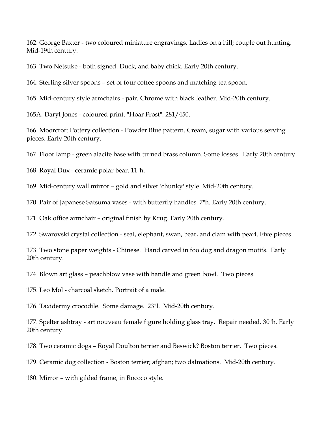162. George Baxter - two coloured miniature engravings. Ladies on a hill; couple out hunting. Mid-19th century.

163. Two Netsuke - both signed. Duck, and baby chick. Early 20th century.

164. Sterling silver spoons – set of four coffee spoons and matching tea spoon.

165. Mid-century style armchairs - pair. Chrome with black leather. Mid-20th century.

165A. Daryl Jones - coloured print. "Hoar Frost". 281/450.

166. Moorcroft Pottery collection - Powder Blue pattern. Cream, sugar with various serving pieces. Early 20th century.

167. Floor lamp - green alacite base with turned brass column. Some losses. Early 20th century.

168. Royal Dux - ceramic polar bear. 11"h.

169. Mid-century wall mirror – gold and silver 'chunky' style. Mid-20th century.

170. Pair of Japanese Satsuma vases - with butterfly handles. 7"h. Early 20th century.

171. Oak office armchair – original finish by Krug. Early 20th century.

172. Swarovski crystal collection - seal, elephant, swan, bear, and clam with pearl. Five pieces.

173. Two stone paper weights - Chinese. Hand carved in foo dog and dragon motifs. Early 20th century.

174. Blown art glass – peachblow vase with handle and green bowl. Two pieces.

175. Leo Mol - charcoal sketch. Portrait of a male.

176. Taxidermy crocodile. Some damage. 23"l. Mid-20th century.

177. Spelter ashtray - art nouveau female figure holding glass tray. Repair needed. 30"h. Early 20th century.

178. Two ceramic dogs – Royal Doulton terrier and Beswick? Boston terrier. Two pieces.

179. Ceramic dog collection - Boston terrier; afghan; two dalmations. Mid-20th century.

180. Mirror – with gilded frame, in Rococo style.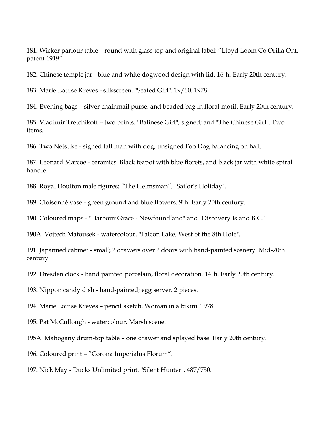181. Wicker parlour table – round with glass top and original label: "Lloyd Loom Co Orilla Ont, patent 1919".

182. Chinese temple jar - blue and white dogwood design with lid. 16"h. Early 20th century.

183. Marie Louise Kreyes - silkscreen. "Seated Girl". 19/60. 1978.

184. Evening bags – silver chainmail purse, and beaded bag in floral motif. Early 20th century.

185. Vladimir Tretchikoff – two prints. "Balinese Girl", signed; and "The Chinese Girl". Two items.

186. Two Netsuke - signed tall man with dog; unsigned Foo Dog balancing on ball.

187. Leonard Marcoe - ceramics. Black teapot with blue florets, and black jar with white spiral handle.

188. Royal Doulton male figures: "The Helmsman"; "Sailor's Holiday".

189. Cloisonné vase - green ground and blue flowers. 9"h. Early 20th century.

190. Coloured maps - "Harbour Grace - Newfoundland" and "Discovery Island B.C."

190A. Vojtech Matousek - watercolour. "Falcon Lake, West of the 8th Hole".

191. Japanned cabinet - small; 2 drawers over 2 doors with hand-painted scenery. Mid-20th century.

192. Dresden clock - hand painted porcelain, floral decoration. 14"h. Early 20th century.

193. Nippon candy dish - hand-painted; egg server. 2 pieces.

194. Marie Louise Kreyes – pencil sketch. Woman in a bikini. 1978.

195. Pat McCullough - watercolour. Marsh scene.

195A. Mahogany drum-top table – one drawer and splayed base. Early 20th century.

196. Coloured print – "Corona Imperialus Florum".

197. Nick May - Ducks Unlimited print. "Silent Hunter". 487/750.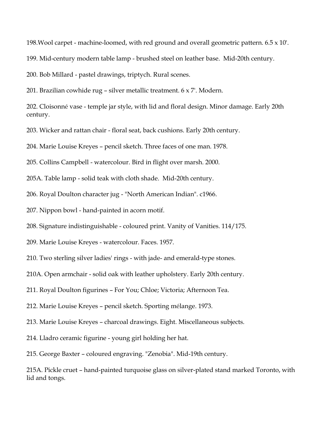198.Wool carpet - machine-loomed, with red ground and overall geometric pattern. 6.5 x 10'.

199. Mid-century modern table lamp - brushed steel on leather base. Mid-20th century.

200. Bob Millard - pastel drawings, triptych. Rural scenes.

201. Brazilian cowhide rug – silver metallic treatment. 6 x 7'. Modern.

202. Cloisonné vase - temple jar style, with lid and floral design. Minor damage. Early 20th century.

203. Wicker and rattan chair - floral seat, back cushions. Early 20th century.

204. Marie Louise Kreyes – pencil sketch. Three faces of one man. 1978.

205. Collins Campbell - watercolour. Bird in flight over marsh. 2000.

205A. Table lamp - solid teak with cloth shade. Mid-20th century.

206. Royal Doulton character jug - "North American Indian". c1966.

207. Nippon bowl - hand-painted in acorn motif.

208. Signature indistinguishable - coloured print. Vanity of Vanities. 114/175.

209. Marie Louise Kreyes - watercolour. Faces. 1957.

210. Two sterling silver ladies' rings - with jade- and emerald-type stones.

210A. Open armchair - solid oak with leather upholstery. Early 20th century.

211. Royal Doulton figurines – For You; Chloe; Victoria; Afternoon Tea.

212. Marie Louise Kreyes – pencil sketch. Sporting mélange. 1973.

213. Marie Louise Kreyes – charcoal drawings. Eight. Miscellaneous subjects.

214. Lladro ceramic figurine - young girl holding her hat.

215. George Baxter – coloured engraving. "Zenobia". Mid-19th century.

215A. Pickle cruet – hand-painted turquoise glass on silver-plated stand marked Toronto, with lid and tongs.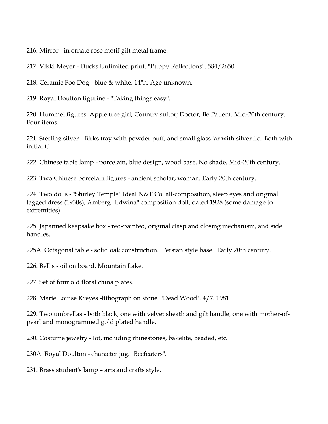216. Mirror - in ornate rose motif gilt metal frame.

217. Vikki Meyer - Ducks Unlimited print. "Puppy Reflections". 584/2650.

218. Ceramic Foo Dog - blue & white, 14"h. Age unknown.

219. Royal Doulton figurine - "Taking things easy".

220. Hummel figures. Apple tree girl; Country suitor; Doctor; Be Patient. Mid-20th century. Four items.

221. Sterling silver - Birks tray with powder puff, and small glass jar with silver lid. Both with initial C.

222. Chinese table lamp - porcelain, blue design, wood base. No shade. Mid-20th century.

223. Two Chinese porcelain figures - ancient scholar; woman. Early 20th century.

224. Two dolls - "Shirley Temple" Ideal N&T Co. all-composition, sleep eyes and original tagged dress (1930s); Amberg "Edwina" composition doll, dated 1928 (some damage to extremities).

225. Japanned keepsake box - red-painted, original clasp and closing mechanism, and side handles.

225A. Octagonal table - solid oak construction. Persian style base. Early 20th century.

226. Bellis - oil on board. Mountain Lake.

227. Set of four old floral china plates.

228. Marie Louise Kreyes -lithograph on stone. "Dead Wood". 4/7. 1981.

229. Two umbrellas - both black, one with velvet sheath and gilt handle, one with mother-ofpearl and monogrammed gold plated handle.

230. Costume jewelry - lot, including rhinestones, bakelite, beaded, etc.

230A. Royal Doulton - character jug. "Beefeaters".

231. Brass student's lamp – arts and crafts style.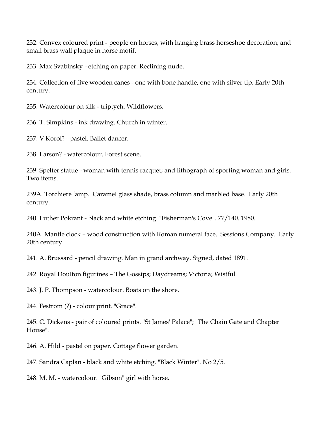232. Convex coloured print - people on horses, with hanging brass horseshoe decoration; and small brass wall plaque in horse motif.

233. Max Svabinsky - etching on paper. Reclining nude.

234. Collection of five wooden canes - one with bone handle, one with silver tip. Early 20th century.

235. Watercolour on silk - triptych. Wildflowers.

236. T. Simpkins - ink drawing. Church in winter.

237. V Korol? - pastel. Ballet dancer.

238. Larson? - watercolour. Forest scene.

239. Spelter statue - woman with tennis racquet; and lithograph of sporting woman and girls. Two items.

239A. Torchiere lamp. Caramel glass shade, brass column and marbled base. Early 20th century.

240. Luther Pokrant - black and white etching. "Fisherman's Cove". 77/140. 1980.

240A. Mantle clock – wood construction with Roman numeral face. Sessions Company. Early 20th century.

241. A. Brussard - pencil drawing. Man in grand archway. Signed, dated 1891.

242. Royal Doulton figurines – The Gossips; Daydreams; Victoria; Wistful.

243. J. P. Thompson - watercolour. Boats on the shore.

244. Festrom (?) - colour print. "Grace".

245. C. Dickens - pair of coloured prints. "St James' Palace"; "The Chain Gate and Chapter House".

246. A. Hild - pastel on paper. Cottage flower garden.

247. Sandra Caplan - black and white etching. "Black Winter". No 2/5.

248. M. M. - watercolour. "Gibson" girl with horse.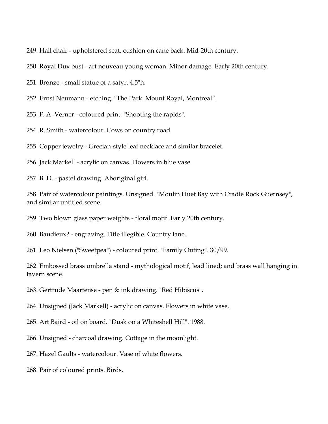249. Hall chair - upholstered seat, cushion on cane back. Mid-20th century.

250. Royal Dux bust - art nouveau young woman. Minor damage. Early 20th century.

251. Bronze - small statue of a satyr. 4.5"h.

252. Ernst Neumann - etching. "The Park. Mount Royal, Montreal".

253. F. A. Verner - coloured print. "Shooting the rapids".

254. R. Smith - watercolour. Cows on country road.

255. Copper jewelry - Grecian-style leaf necklace and similar bracelet.

256. Jack Markell - acrylic on canvas. Flowers in blue vase.

257. B. D. - pastel drawing. Aboriginal girl.

258. Pair of watercolour paintings. Unsigned. "Moulin Huet Bay with Cradle Rock Guernsey", and similar untitled scene.

259. Two blown glass paper weights - floral motif. Early 20th century.

260. Baudieux? - engraving. Title illegible. Country lane.

261. Leo Nielsen ("Sweetpea") - coloured print. "Family Outing". 30/99.

262. Embossed brass umbrella stand - mythological motif, lead lined; and brass wall hanging in tavern scene.

263. Gertrude Maartense - pen & ink drawing. "Red Hibiscus".

264. Unsigned (Jack Markell) - acrylic on canvas. Flowers in white vase.

265. Art Baird - oil on board. "Dusk on a Whiteshell Hill". 1988.

266. Unsigned - charcoal drawing. Cottage in the moonlight.

267. Hazel Gaults - watercolour. Vase of white flowers.

268. Pair of coloured prints. Birds.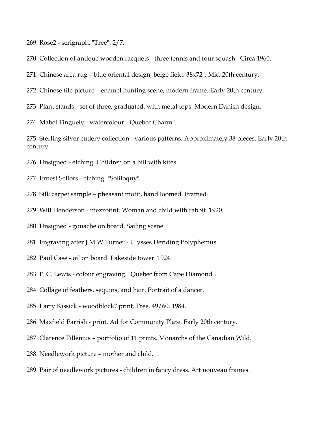269. Rose2 - serigraph. "Tree". 2/7.

270. Collection of antique wooden racquets - three tennis and four squash. Circa 1960.

271. Chinese area rug – blue oriental design, beige field. 38x72". Mid-20th century.

272. Chinese tile picture – enamel hunting scene, modern frame. Early 20th century.

273. Plant stands - set of three, graduated, with metal tops. Modern Danish design.

274. Mabel Tinguely - watercolour. "Quebec Charm".

275. Sterling silver cutlery collection - various patterns. Approximately 38 pieces. Early 20th century.

276. Unsigned - etching. Children on a hill with kites.

277. Ernest Sellors - etching. "Soliloquy".

278. Silk carpet sample – pheasant motif, hand loomed. Framed.

279. Will Henderson - mezzotint. Woman and child with rabbit. 1920.

280. Unsigned - gouache on board. Sailing scene.

281. Engraving after J M W Turner - Ulysses Deriding Polyphemus.

282. Paul Case - oil on board. Lakeside tower. 1924.

283. F. C. Lewis - colour engraving. "Quebec from Cape Diamond".

284. Collage of feathers, sequins, and hair. Portrait of a dancer.

285. Larry Kissick - woodblock? print. Tree. 49/60. 1984.

286. Maxfield Parrish - print. Ad for Community Plate. Early 20th century.

287. Clarence Tillenius – portfolio of 11 prints. Monarchs of the Canadian Wild.

288. Needlework picture – mother and child.

289. Pair of needlework pictures - children in fancy dress. Art nouveau frames.